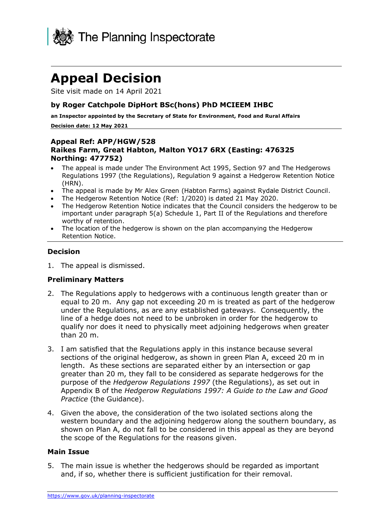

## **Appeal Decision**

Site visit made on 14 April 2021

#### **by Roger Catchpole DipHort BSc(hons) PhD MCIEEM IHBC**

**an Inspector appointed by the Secretary of State for Environment, Food and Rural Affairs Decision date: 12 May 2021**

#### **Appeal Ref: APP/HGW/528 Raikes Farm, Great Habton, Malton YO17 6RX (Easting: 476325 Northing: 477752)**

- The appeal is made under The Environment Act 1995, Section 97 and The Hedgerows Regulations 1997 (the Regulations), Regulation 9 against a Hedgerow Retention Notice (HRN).
- The appeal is made by Mr Alex Green (Habton Farms) against Rydale District Council.
- The Hedgerow Retention Notice (Ref: 1/2020) is dated 21 May 2020.
- The Hedgerow Retention Notice indicates that the Council considers the hedgerow to be important under paragraph 5(a) Schedule 1, Part II of the Regulations and therefore worthy of retention.
- The location of the hedgerow is shown on the plan accompanying the Hedgerow Retention Notice.

#### **Decision**

1. The appeal is dismissed.

#### **Preliminary Matters**

- 2. The Regulations apply to hedgerows with a continuous length greater than or equal to 20 m. Any gap not exceeding 20 m is treated as part of the hedgerow under the Regulations, as are any established gateways. Consequently, the line of a hedge does not need to be unbroken in order for the hedgerow to qualify nor does it need to physically meet adjoining hedgerows when greater than 20 m.
- 3. I am satisfied that the Regulations apply in this instance because several sections of the original hedgerow, as shown in green Plan A, exceed 20 m in length. As these sections are separated either by an intersection or gap greater than 20 m, they fall to be considered as separate hedgerows for the purpose of the *Hedgerow Regulations 1997* (the Regulations), as set out in Appendix B of the *Hedgerow Regulations 1997: A Guide to the Law and Good Practice* (the Guidance).
- 4. Given the above, the consideration of the two isolated sections along the western boundary and the adjoining hedgerow along the southern boundary, as shown on Plan A, do not fall to be considered in this appeal as they are beyond the scope of the Regulations for the reasons given.

#### **Main Issue**

5. The main issue is whether the hedgerows should be regarded as important and, if so, whether there is sufficient justification for their removal.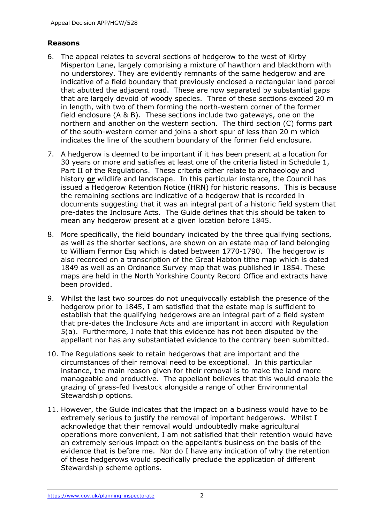#### **Reasons**

- 6. The appeal relates to several sections of hedgerow to the west of Kirby Misperton Lane, largely comprising a mixture of hawthorn and blackthorn with no understorey. They are evidently remnants of the same hedgerow and are indicative of a field boundary that previously enclosed a rectangular land parcel that abutted the adjacent road. These are now separated by substantial gaps that are largely devoid of woody species. Three of these sections exceed 20 m in length, with two of them forming the north-western corner of the former field enclosure (A & B). These sections include two gateways, one on the northern and another on the western section. The third section (C) forms part of the south-western corner and joins a short spur of less than 20 m which indicates the line of the southern boundary of the former field enclosure.
- 7. A hedgerow is deemed to be important if it has been present at a location for 30 years or more and satisfies at least one of the criteria listed in Schedule 1, Part II of the Regulations. These criteria either relate to archaeology and history **or** wildlife and landscape. In this particular instance, the Council has issued a Hedgerow Retention Notice (HRN) for historic reasons. This is because the remaining sections are indicative of a hedgerow that is recorded in documents suggesting that it was an integral part of a historic field system that pre-dates the Inclosure Acts. The Guide defines that this should be taken to mean any hedgerow present at a given location before 1845.
- 8. More specifically, the field boundary indicated by the three qualifying sections, as well as the shorter sections, are shown on an estate map of land belonging to William Fermor Esq which is dated between 1770-1790. The hedgerow is also recorded on a transcription of the Great Habton tithe map which is dated 1849 as well as an Ordnance Survey map that was published in 1854. These maps are held in the North Yorkshire County Record Office and extracts have been provided.
- 9. Whilst the last two sources do not unequivocally establish the presence of the hedgerow prior to 1845, I am satisfied that the estate map is sufficient to establish that the qualifying hedgerows are an integral part of a field system that pre-dates the Inclosure Acts and are important in accord with Regulation 5(a). Furthermore, I note that this evidence has not been disputed by the appellant nor has any substantiated evidence to the contrary been submitted.
- 10. The Regulations seek to retain hedgerows that are important and the circumstances of their removal need to be exceptional. In this particular instance, the main reason given for their removal is to make the land more manageable and productive. The appellant believes that this would enable the grazing of grass-fed livestock alongside a range of other Environmental Stewardship options.
- 11. However, the Guide indicates that the impact on a business would have to be extremely serious to justify the removal of important hedgerows. Whilst I acknowledge that their removal would undoubtedly make agricultural operations more convenient, I am not satisfied that their retention would have an extremely serious impact on the appellant's business on the basis of the evidence that is before me. Nor do I have any indication of why the retention of these hedgerows would specifically preclude the application of different Stewardship scheme options.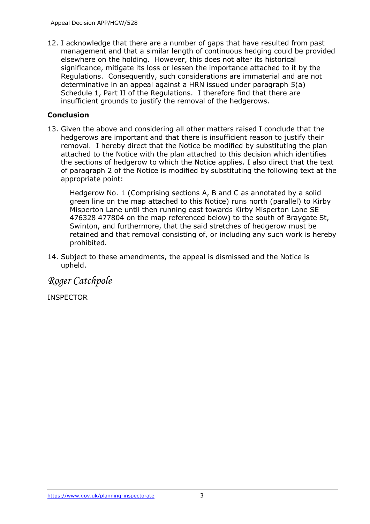12. I acknowledge that there are a number of gaps that have resulted from past management and that a similar length of continuous hedging could be provided elsewhere on the holding. However, this does not alter its historical significance, mitigate its loss or lessen the importance attached to it by the Regulations. Consequently, such considerations are immaterial and are not determinative in an appeal against a HRN issued under paragraph 5(a) Schedule 1, Part II of the Regulations. I therefore find that there are insufficient grounds to justify the removal of the hedgerows.

### **Conclusion**

13. Given the above and considering all other matters raised I conclude that the hedgerows are important and that there is insufficient reason to justify their removal. I hereby direct that the Notice be modified by substituting the plan attached to the Notice with the plan attached to this decision which identifies the sections of hedgerow to which the Notice applies. I also direct that the text of paragraph 2 of the Notice is modified by substituting the following text at the appropriate point:

Hedgerow No. 1 (Comprising sections A, B and C as annotated by a solid green line on the map attached to this Notice) runs north (parallel) to Kirby Misperton Lane until then running east towards Kirby Misperton Lane SE 476328 477804 on the map referenced below) to the south of Braygate St, Swinton, and furthermore, that the said stretches of hedgerow must be retained and that removal consisting of, or including any such work is hereby prohibited.

14. Subject to these amendments, the appeal is dismissed and the Notice is upheld.

*Roger Catchpole*

INSPECTOR